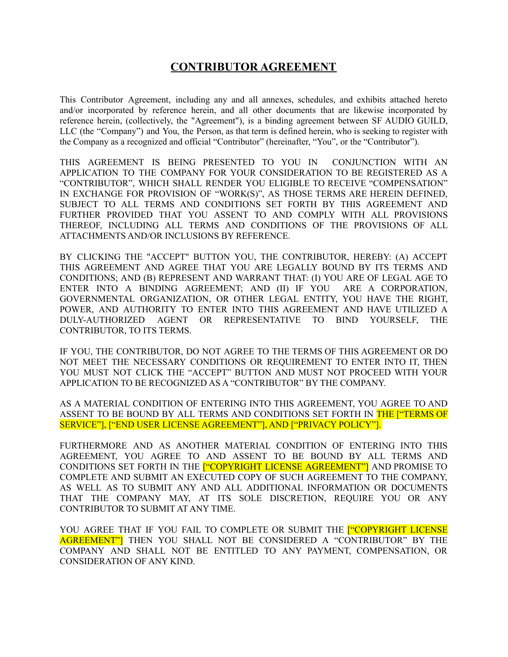# **CONTRIBUTOR AGREEMENT**

This Contributor Agreement, including any and all annexes, schedules, and exhibits attached hereto and/or incorporated by reference herein, and all other documents that are likewise incorporated by reference herein, (collectively, the "Agreement"), is a binding agreement between SF AUDIO GUILD, LLC (the "Company") and You, the Person, as that term is defined herein, who is seeking to register with the Company as a recognized and official "Contributor" (hereinafter, "You", or the "Contributor").

THIS AGREEMENT IS BEING PRESENTED TO YOU IN CONJUNCTION WITH AN APPLICATION TO THE COMPANY FOR YOUR CONSIDERATION TO BE REGISTERED AS A "CONTRIBUTOR", WHICH SHALL RENDER YOU ELIGIBLE TO RECEIVE "COMPENSATION" IN EXCHANGE FOR PROVISION OF "WORK(S)", AS THOSE TERMS ARE HEREIN DEFINED, SUBJECT TO ALL TERMS AND CONDITIONS SET FORTH BY THIS AGREEMENT AND FURTHER PROVIDED THAT YOU ASSENT TO AND COMPLY WITH ALL PROVISIONS THEREOF, INCLUDING ALL TERMS AND CONDITIONS OF THE PROVISIONS OF ALL ATTACHMENTS AND/OR INCLUSIONS BY REFERENCE.

BY CLICKING THE "ACCEPT" BUTTON YOU, THE CONTRIBUTOR, HEREBY: (A) ACCEPT THIS AGREEMENT AND AGREE THAT YOU ARE LEGALLY BOUND BY ITS TERMS AND CONDITIONS; AND (B) REPRESENT AND WARRANT THAT: (I) YOU ARE OF LEGAL AGE TO ENTER INTO A BINDING AGREEMENT; AND (II) IF YOU ARE A CORPORATION, GOVERNMENTAL ORGANIZATION, OR OTHER LEGAL ENTITY, YOU HAVE THE RIGHT, POWER, AND AUTHORITY TO ENTER INTO THIS AGREEMENT AND HAVE UTILIZED A DULY-AUTHORIZED AGENT OR REPRESENTATIVE TO BIND YOURSELF, THE CONTRIBUTOR, TO ITS TERMS.

IF YOU, THE CONTRIBUTOR, DO NOT AGREE TO THE TERMS OF THIS AGREEMENT OR DO NOT MEET THE NECESSARY CONDITIONS OR REQUIREMENT TO ENTER INTO IT, THEN YOU MUST NOT CLICK THE "ACCEPT" BUTTON AND MUST NOT PROCEED WITH YOUR APPLICATION TO BE RECOGNIZED AS A "CONTRIBUTOR" BY THE COMPANY.

AS A MATERIAL CONDITION OF ENTERING INTO THIS AGREEMENT, YOU AGREE TO AND ASSENT TO BE BOUND BY ALL TERMS AND CONDITIONS SET FORTH IN THE <sup>"</sup>TERMS OF SERVICE"], ["END USER LICENSE AGREEMENT"], AND ["PRIVACY POLICY"].

FURTHERMORE AND AS ANOTHER MATERIAL CONDITION OF ENTERING INTO THIS AGREEMENT, YOU AGREE TO AND ASSENT TO BE BOUND BY ALL TERMS AND CONDITIONS SET FORTH IN THE ["COPYRIGHT LICENSE AGREEMENT"] AND PROMISE TO COMPLETE AND SUBMIT AN EXECUTED COPY OF SUCH AGREEMENT TO THE COMPANY, AS WELL AS TO SUBMIT ANY AND ALL ADDITIONAL INFORMATION OR DOCUMENTS THAT THE COMPANY MAY, AT ITS SOLE DISCRETION, REQUIRE YOU OR ANY CONTRIBUTOR TO SUBMIT AT ANY TIME.

YOU AGREE THAT IF YOU FAIL TO COMPLETE OR SUBMIT THE **["COPYRIGHT LICENSE** AGREEMENT"] THEN YOU SHALL NOT BE CONSIDERED A "CONTRIBUTOR" BY THE COMPANY AND SHALL NOT BE ENTITLED TO ANY PAYMENT, COMPENSATION, OR CONSIDERATION OF ANY KIND.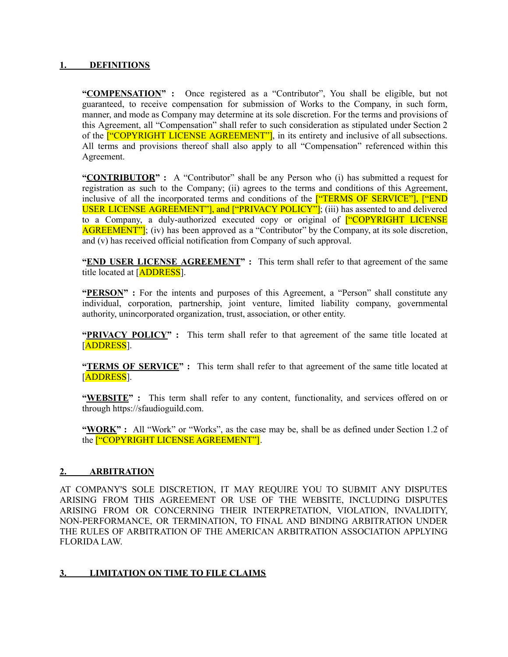#### **1. DEFINITIONS**

**"COMPENSATION" :** Once registered as a "Contributor", You shall be eligible, but not guaranteed, to receive compensation for submission of Works to the Company, in such form, manner, and mode as Company may determine at its sole discretion. For the terms and provisions of this Agreement, all "Compensation" shall refer to such consideration as stipulated under Section 2 of the <sup>["</sup>COPYRIGHT LICENSE AGREEMENT"], in its entirety and inclusive of all subsections. All terms and provisions thereof shall also apply to all "Compensation" referenced within this Agreement.

**"CONTRIBUTOR" :** A "Contributor" shall be any Person who (i) has submitted a request for registration as such to the Company; (ii) agrees to the terms and conditions of this Agreement, inclusive of all the incorporated terms and conditions of the **["TERMS OF SERVICE"]**, **["END** USER LICENSE AGREEMENT"], and ["PRIVACY POLICY"]; (iii) has assented to and delivered to a Company, a duly-authorized executed copy or original of <sup>"COPYRIGHT</sup> LICENSE" AGREEMENT"]; (iv) has been approved as a "Contributor" by the Company, at its sole discretion, and (v) has received official notification from Company of such approval.

**"END USER LICENSE AGREEMENT" :** This term shall refer to that agreement of the same title located at [ADDRESS].

**"PERSON" :** For the intents and purposes of this Agreement, a "Person" shall constitute any individual, corporation, partnership, joint venture, limited liability company, governmental authority, unincorporated organization, trust, association, or other entity.

**"PRIVACY POLICY" :** This term shall refer to that agreement of the same title located at [ADDRESS].

**"TERMS OF SERVICE" :** This term shall refer to that agreement of the same title located at [ADDRESS].

**"WEBSITE" :** This term shall refer to any content, functionality, and services offered on or through https://sfaudioguild.com.

"WORK": All "Work" or "Works", as the case may be, shall be as defined under Section 1.2 of the ["COPYRIGHT LICENSE AGREEMENT"].

#### **2. ARBITRATION**

AT COMPANY'S SOLE DISCRETION, IT MAY REQUIRE YOU TO SUBMIT ANY DISPUTES ARISING FROM THIS AGREEMENT OR USE OF THE WEBSITE, INCLUDING DISPUTES ARISING FROM OR CONCERNING THEIR INTERPRETATION, VIOLATION, INVALIDITY, NON-PERFORMANCE, OR TERMINATION, TO FINAL AND BINDING ARBITRATION UNDER THE RULES OF ARBITRATION OF THE AMERICAN ARBITRATION ASSOCIATION APPLYING FLORIDA LAW.

### **3. LIMITATION ON TIME TO FILE CLAIMS**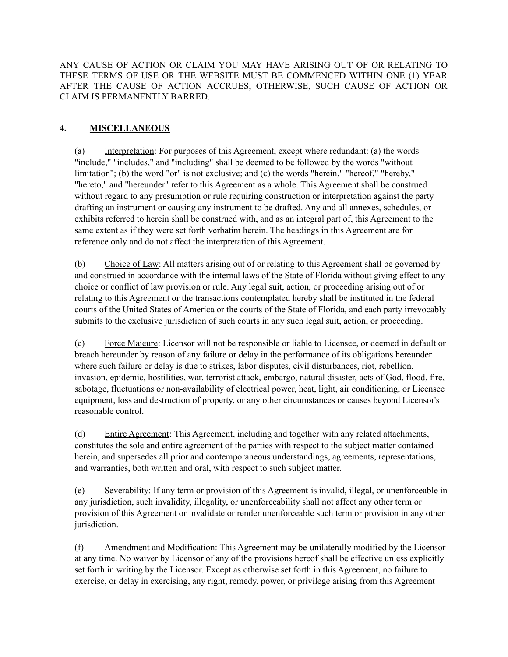ANY CAUSE OF ACTION OR CLAIM YOU MAY HAVE ARISING OUT OF OR RELATING TO THESE TERMS OF USE OR THE WEBSITE MUST BE COMMENCED WITHIN ONE (1) YEAR AFTER THE CAUSE OF ACTION ACCRUES; OTHERWISE, SUCH CAUSE OF ACTION OR CLAIM IS PERMANENTLY BARRED.

## **4. MISCELLANEOUS**

(a) Interpretation: For purposes of this Agreement, except where redundant: (a) the words "include," "includes," and "including" shall be deemed to be followed by the words "without limitation"; (b) the word "or" is not exclusive; and (c) the words "herein," "hereof," "hereby," "hereto," and "hereunder" refer to this Agreement as a whole. This Agreement shall be construed without regard to any presumption or rule requiring construction or interpretation against the party drafting an instrument or causing any instrument to be drafted. Any and all annexes, schedules, or exhibits referred to herein shall be construed with, and as an integral part of, this Agreement to the same extent as if they were set forth verbatim herein. The headings in this Agreement are for reference only and do not affect the interpretation of this Agreement.

(b) Choice of Law: All matters arising out of or relating to this Agreement shall be governed by and construed in accordance with the internal laws of the State of Florida without giving effect to any choice or conflict of law provision or rule. Any legal suit, action, or proceeding arising out of or relating to this Agreement or the transactions contemplated hereby shall be instituted in the federal courts of the United States of America or the courts of the State of Florida, and each party irrevocably submits to the exclusive jurisdiction of such courts in any such legal suit, action, or proceeding.

(c) Force Majeure: Licensor will not be responsible or liable to Licensee, or deemed in default or breach hereunder by reason of any failure or delay in the performance of its obligations hereunder where such failure or delay is due to strikes, labor disputes, civil disturbances, riot, rebellion, invasion, epidemic, hostilities, war, terrorist attack, embargo, natural disaster, acts of God, flood, fire, sabotage, fluctuations or non-availability of electrical power, heat, light, air conditioning, or Licensee equipment, loss and destruction of property, or any other circumstances or causes beyond Licensor's reasonable control.

(d) Entire Agreement: This Agreement, including and together with any related attachments, constitutes the sole and entire agreement of the parties with respect to the subject matter contained herein, and supersedes all prior and contemporaneous understandings, agreements, representations, and warranties, both written and oral, with respect to such subject matter.

(e) Severability: If any term or provision of this Agreement is invalid, illegal, or unenforceable in any jurisdiction, such invalidity, illegality, or unenforceability shall not affect any other term or provision of this Agreement or invalidate or render unenforceable such term or provision in any other jurisdiction.

(f) Amendment and Modification: This Agreement may be unilaterally modified by the Licensor at any time. No waiver by Licensor of any of the provisions hereof shall be effective unless explicitly set forth in writing by the Licensor. Except as otherwise set forth in this Agreement, no failure to exercise, or delay in exercising, any right, remedy, power, or privilege arising from this Agreement